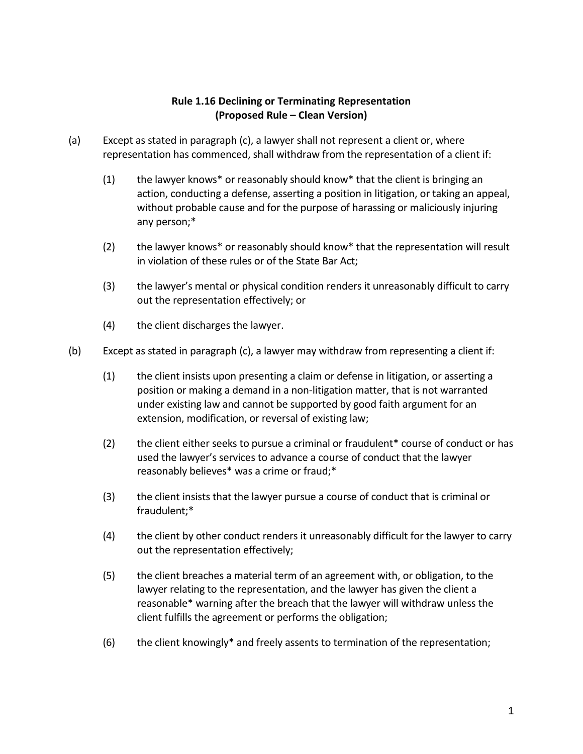## **Rule 1.16 Declining or Terminating Representation (Proposed Rule – Clean Version)**

- (a) Except as stated in paragraph (c), a lawyer shall not represent a client or, where representation has commenced, shall withdraw from the representation of a client if:
	- (1) the lawyer knows\* or reasonably should know\* that the client is bringing an action, conducting a defense, asserting a position in litigation, or taking an appeal, without probable cause and for the purpose of harassing or maliciously injuring any person;\*
	- (2) the lawyer knows\* or reasonably should know\* that the representation will result in violation of these rules or of the State Bar Act;
	- (3) the lawyer's mental or physical condition renders it unreasonably difficult to carry out the representation effectively; or
	- (4) the client discharges the lawyer.
- (b) Except as stated in paragraph (c), a lawyer may withdraw from representing a client if:
	- (1) the client insists upon presenting a claim or defense in litigation, or asserting a position or making a demand in a non-litigation matter, that is not warranted under existing law and cannot be supported by good faith argument for an extension, modification, or reversal of existing law;
	- (2) the client either seeks to pursue a criminal or fraudulent\* course of conduct or has used the lawyer's services to advance a course of conduct that the lawyer reasonably believes\* was a crime or fraud;\*
	- (3) the client insists that the lawyer pursue a course of conduct that is criminal or fraudulent;\*
	- (4) the client by other conduct renders it unreasonably difficult for the lawyer to carry out the representation effectively;
	- (5) the client breaches a material term of an agreement with, or obligation, to the lawyer relating to the representation, and the lawyer has given the client a reasonable\* warning after the breach that the lawyer will withdraw unless the client fulfills the agreement or performs the obligation;
	- (6) the client knowingly\* and freely assents to termination of the representation;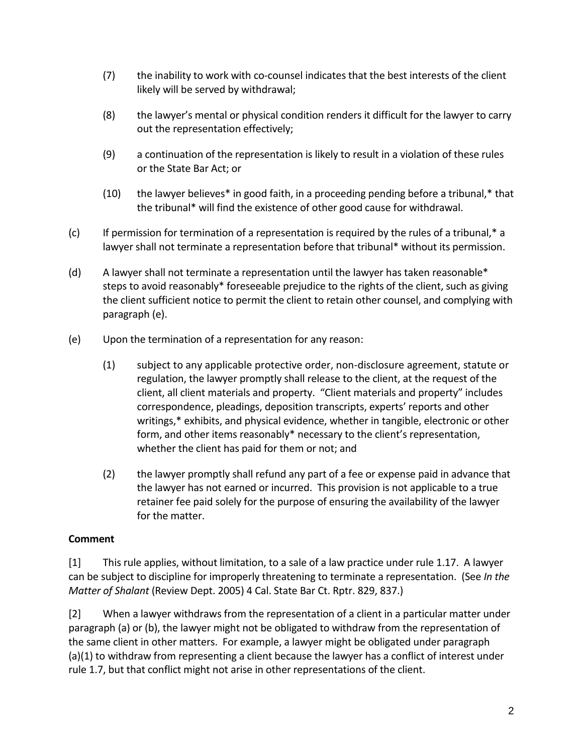- (7) the inability to work with co-counsel indicates that the best interests of the client likely will be served by withdrawal;
- (8) the lawyer's mental or physical condition renders it difficult for the lawyer to carry out the representation effectively;
- (9) a continuation of the representation is likely to result in a violation of these rules or the State Bar Act; or
- (10) the lawyer believes\* in good faith, in a proceeding pending before a tribunal,\* that the tribunal\* will find the existence of other good cause for withdrawal.
- $(c)$  If permission for termination of a representation is required by the rules of a tribunal, $*$  a lawyer shall not terminate a representation before that tribunal\* without its permission.
- (d) A lawyer shall not terminate a representation until the lawyer has taken reasonable\* steps to avoid reasonably\* foreseeable prejudice to the rights of the client, such as giving the client sufficient notice to permit the client to retain other counsel, and complying with paragraph (e).
- (e) Upon the termination of a representation for any reason:
	- (1) subject to any applicable protective order, non-disclosure agreement, statute or regulation, the lawyer promptly shall release to the client, at the request of the client, all client materials and property. "Client materials and property" includes correspondence, pleadings, deposition transcripts, experts' reports and other writings,\* exhibits, and physical evidence, whether in tangible, electronic or other form, and other items reasonably\* necessary to the client's representation, whether the client has paid for them or not; and
	- (2) the lawyer promptly shall refund any part of a fee or expense paid in advance that the lawyer has not earned or incurred. This provision is not applicable to a true retainer fee paid solely for the purpose of ensuring the availability of the lawyer for the matter.

## **Comment**

[1] This rule applies, without limitation, to a sale of a law practice under rule 1.17. A lawyer can be subject to discipline for improperly threatening to terminate a representation. (See *In the Matter of Shalant* (Review Dept. 2005) 4 Cal. State Bar Ct. Rptr. 829, 837.)

[2] When a lawyer withdraws from the representation of a client in a particular matter under paragraph (a) or (b), the lawyer might not be obligated to withdraw from the representation of the same client in other matters. For example, a lawyer might be obligated under paragraph (a)(1) to withdraw from representing a client because the lawyer has a conflict of interest under rule 1.7, but that conflict might not arise in other representations of the client.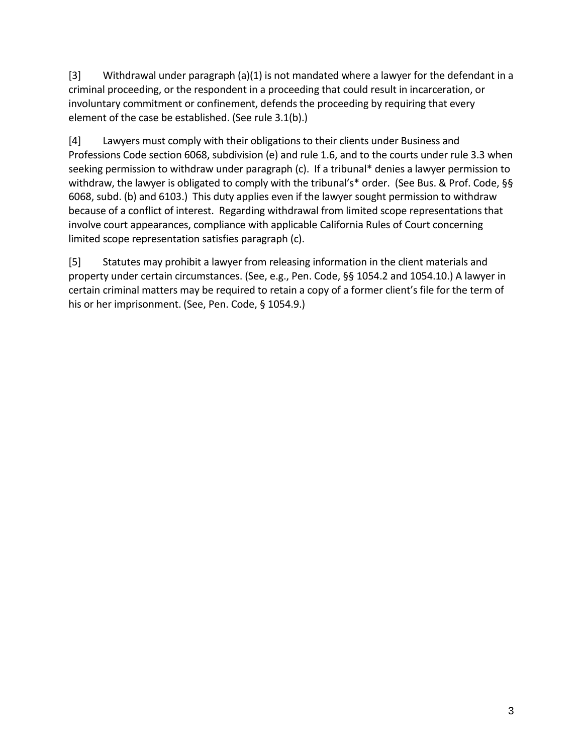[3] Withdrawal under paragraph (a)(1) is not mandated where a lawyer for the defendant in a criminal proceeding, or the respondent in a proceeding that could result in incarceration, or involuntary commitment or confinement, defends the proceeding by requiring that every element of the case be established. (See rule 3.1(b).)

[4] Lawyers must comply with their obligations to their clients under Business and Professions Code section 6068, subdivision (e) and rule 1.6, and to the courts under rule 3.3 when seeking permission to withdraw under paragraph (c). If a tribunal\* denies a lawyer permission to withdraw, the lawyer is obligated to comply with the tribunal's\* order. (See Bus. & Prof. Code, §§ 6068, subd. (b) and 6103.) This duty applies even if the lawyer sought permission to withdraw because of a conflict of interest. Regarding withdrawal from limited scope representations that involve court appearances, compliance with applicable California Rules of Court concerning limited scope representation satisfies paragraph (c).

[5] Statutes may prohibit a lawyer from releasing information in the client materials and property under certain circumstances. (See, e.g., Pen. Code, §§ 1054.2 and 1054.10.) A lawyer in certain criminal matters may be required to retain a copy of a former client's file for the term of his or her imprisonment. (See, Pen. Code, § 1054.9.)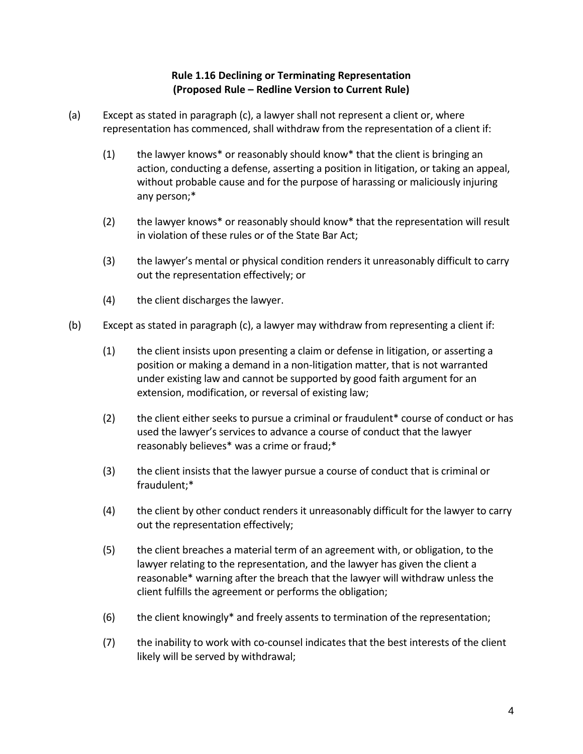## **Rule 1.16 Declining or Terminating Representation (Proposed Rule – Redline Version to Current Rule)**

- (a) Except as stated in paragraph (c), a lawyer shall not represent a client or, where representation has commenced, shall withdraw from the representation of a client if:
	- (1) the lawyer knows\* or reasonably should know\* that the client is bringing an action, conducting a defense, asserting a position in litigation, or taking an appeal, without probable cause and for the purpose of harassing or maliciously injuring any person;\*
	- (2) the lawyer knows\* or reasonably should know\* that the representation will result in violation of these rules or of the State Bar Act;
	- (3) the lawyer's mental or physical condition renders it unreasonably difficult to carry out the representation effectively; or
	- (4) the client discharges the lawyer.
- (b) Except as stated in paragraph (c), a lawyer may withdraw from representing a client if:
	- (1) the client insists upon presenting a claim or defense in litigation, or asserting a position or making a demand in a non-litigation matter, that is not warranted under existing law and cannot be supported by good faith argument for an extension, modification, or reversal of existing law;
	- (2) the client either seeks to pursue a criminal or fraudulent\* course of conduct or has used the lawyer's services to advance a course of conduct that the lawyer reasonably believes\* was a crime or fraud;\*
	- (3) the client insists that the lawyer pursue a course of conduct that is criminal or fraudulent;\*
	- (4) the client by other conduct renders it unreasonably difficult for the lawyer to carry out the representation effectively;
	- (5) the client breaches a material term of an agreement with, or obligation, to the lawyer relating to the representation, and the lawyer has given the client a reasonable\* warning after the breach that the lawyer will withdraw unless the client fulfills the agreement or performs the obligation;
	- (6) the client knowingly\* and freely assents to termination of the representation;
	- (7) the inability to work with co-counsel indicates that the best interests of the client likely will be served by withdrawal;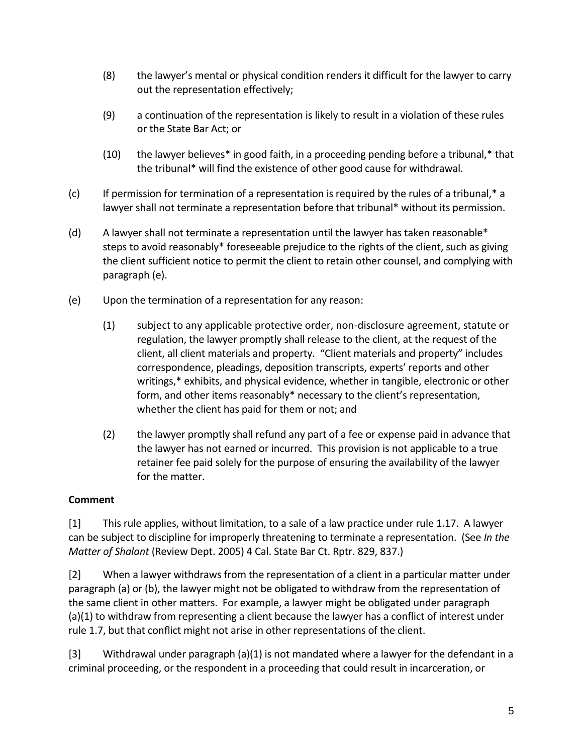- (8) the lawyer's mental or physical condition renders it difficult for the lawyer to carry out the representation effectively;
- (9) a continuation of the representation is likely to result in a violation of these rules or the State Bar Act; or
- (10) the lawyer believes\* in good faith, in a proceeding pending before a tribunal,\* that the tribunal\* will find the existence of other good cause for withdrawal.
- (c) If permission for termination of a representation is required by the rules of a tribunal,\* a lawyer shall not terminate a representation before that tribunal\* without its permission.
- (d) A lawyer shall not terminate a representation until the lawyer has taken reasonable\* steps to avoid reasonably\* foreseeable prejudice to the rights of the client, such as giving the client sufficient notice to permit the client to retain other counsel, and complying with paragraph (e).
- (e) Upon the termination of a representation for any reason:
	- (1) subject to any applicable protective order, non-disclosure agreement, statute or regulation, the lawyer promptly shall release to the client, at the request of the client, all client materials and property. "Client materials and property" includes correspondence, pleadings, deposition transcripts, experts' reports and other writings,\* exhibits, and physical evidence, whether in tangible, electronic or other form, and other items reasonably\* necessary to the client's representation, whether the client has paid for them or not; and
	- (2) the lawyer promptly shall refund any part of a fee or expense paid in advance that the lawyer has not earned or incurred. This provision is not applicable to a true retainer fee paid solely for the purpose of ensuring the availability of the lawyer for the matter.

## **Comment**

[1] This rule applies, without limitation, to a sale of a law practice under rule 1.17. A lawyer can be subject to discipline for improperly threatening to terminate a representation. (See *In the Matter of Shalant* (Review Dept. 2005) 4 Cal. State Bar Ct. Rptr. 829, 837.)

[2] When a lawyer withdraws from the representation of a client in a particular matter under paragraph (a) or (b), the lawyer might not be obligated to withdraw from the representation of the same client in other matters. For example, a lawyer might be obligated under paragraph (a)(1) to withdraw from representing a client because the lawyer has a conflict of interest under rule 1.7, but that conflict might not arise in other representations of the client.

[3] Withdrawal under paragraph (a)(1) is not mandated where a lawyer for the defendant in a criminal proceeding, or the respondent in a proceeding that could result in incarceration, or